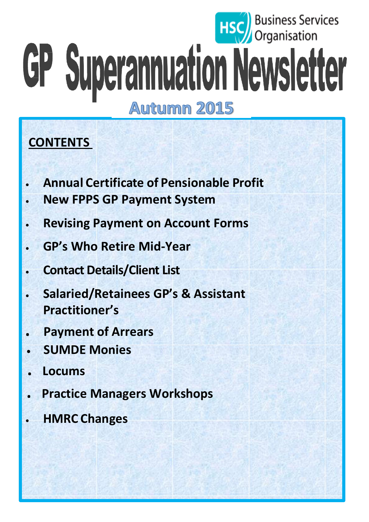# **Business Services** GP Superannuation Newsletter **Autumn 2015**

## **CONTENTS**

- **Annual Certificate of Pensionable Profit**
- **New FPPS GP Payment System**
- **Revising Payment on Account Forms**
- **GP's Who Retire Mid-Year**
- **Contact Details/Client List**
- **Salaried/Retainees GP's & Assistant Practitioner's**
- **. Payment of Arrears**
- **SUMDE Monies**
- **. Locums**
- **. Practice Managers Workshops**
- **HMRC Changes**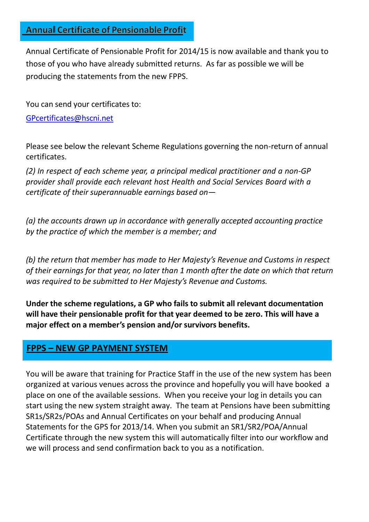#### **Annual Certificate of Pensionable Profit**

Annual Certificate of Pensionable Profit for 2014/15 is now available and thank you to those of you who have already submitted returns. As far as possible we will be producing the statements from the new FPPS.

You can send your certificates to:

[GPcertificates@hscni.net](mailto:GPcertificates@hscni.net)

Please see below the relevant Scheme Regulations governing the non-return of annual certificates.

*(2) In respect of each scheme year, a principal medical practitioner and a non-GP provider shall provide each relevant host Health and Social Services Board with a certificate of their superannuable earnings based on—*

*(a) the accounts drawn up in accordance with generally accepted accounting practice by the practice of which the member is a member; and*

*(b) the return that member has made to Her Majesty's Revenue and Customs in respect of their earnings for that year, no later than 1 month after the date on which that return was required to be submitted to Her Majesty's Revenue and Customs.*

**Under the scheme regulations, a GP who fails to submit all relevant documentation will have their pensionable profit for that year deemed to be zero. This will have a major effect on a member's pension and/or survivors benefits.**

#### **FPPS – NEW GP PAYMENT SYSTEM**

You will be aware that training for Practice Staff in the use of the new system has been organized at various venues across the province and hopefully you will have booked a place on one of the available sessions. When you receive your log in details you can start using the new system straight away. The team at Pensions have been submitting SR1s/SR2s/POAs and Annual Certificates on your behalf and producing Annual Statements for the GPS for 2013/14. When you submit an SR1/SR2/POA/Annual Certificate through the new system this will automatically filter into our workflow and we will process and send confirmation back to you as a notification.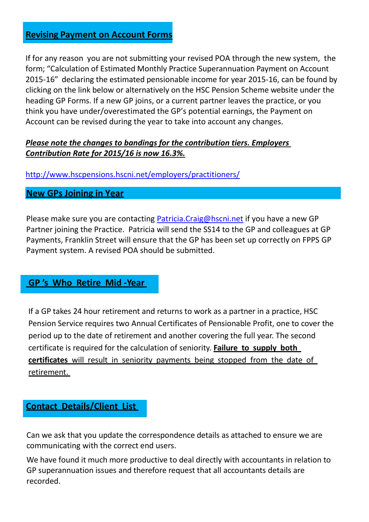#### **Revising Payment on Account Forms**

If for any reason you are not submitting your revised POA through the new system, the form; "Calculation of Estimated Monthly Practice Superannuation Payment on Account 2015-16" declaring the estimated pensionable income for year 2015-16, can be found by clicking on the link below or alternatively on the HSC Pension Scheme website under the heading GP Forms. If a new GP joins, or a current partner leaves the practice, or you think you have under/overestimated the GP's potential earnings, the Payment on Account can be revised during the year to take into account any changes.

#### *Please note the changes to bandings for the contribution tiers. Employers Contribution Rate for 2015/16 is now 16.3%.*

<http://www.hscpensions.hscni.net/employers/practitioners/>

#### **New GPs Joining in Year**

Please make sure you are contacting [Patricia.Craig@hscni.net](mailto:Patricia.Craig@hscni.net) if you have a new GP Partner joining the Practice. Patricia will send the SS14 to the GP and colleagues at GP Payments, Franklin Street will ensure that the GP has been set up correctly on FPPS GP Payment system. A revised POA should be submitted.

#### **GP 's Who Retire Mid -Year**

If a GP takes 24 hour retirement and returns to work as a partner in a practice, HSC Pension Service requires two Annual Certificates of Pensionable Profit, one to cover the period up to the date of retirement and another covering the full year. The second certificate is required for the calculation of seniority. **Failure to supply both certificates** will result in seniority payments being stopped from the date of retirement.

#### **Contact Details/Client List**

Can we ask that you update the correspondence details as attached to ensure we are communicating with the correct end users.

We have found it much more productive to deal directly with accountants in relation to GP superannuation issues and therefore request that all accountants details are recorded.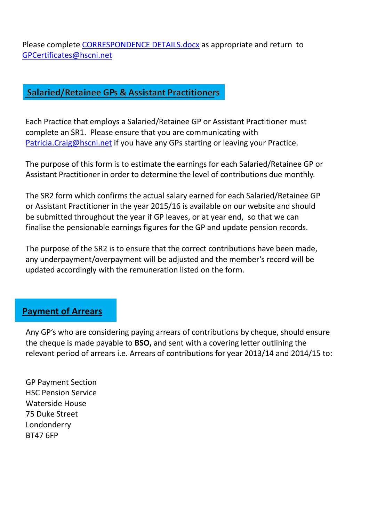Please complete [CORRESPONDENCE DETAILS.docx](file:///C:/Users/clogu009/AppData/Local/Microsoft/Windows/Temporary%20Internet%20Files/Content.Outlook/AZDZBGBE/CORRESPONDENCE%20DETAILS.docx) as appropriate and return to [GPCertificates@hscni.net](mailto:GPCertificates@hscni.net)

#### **Salaried/Retainee GPs & Assistant Practitioners**

Each Practice that employs a Salaried/Retainee GP or Assistant Practitioner must complete an SR1. Please ensure that you are communicating with [Patricia.Craig@hscni.net](mailto:Patricia.Craig@hscni.net) if you have any GPs starting or leaving your Practice.

The purpose of this form is to estimate the earnings for each Salaried/Retainee GP or Assistant Practitioner in order to determine the level of contributions due monthly.

The SR2 form which confirms the actual salary earned for each Salaried/Retainee GP or Assistant Practitioner in the year 2015/16 is available on our website and should be submitted throughout the year if GP leaves, or at year end, so that we can finalise the pensionable earnings figures for the GP and update pension records.

The purpose of the SR2 is to ensure that the correct contributions have been made, any underpayment/overpayment will be adjusted and the member's record will be updated accordingly with the remuneration listed on the form.

#### **Payment of Arrears**

Any GP's who are considering paying arrears of contributions by cheque, should ensure the cheque is made payable to **BSO,** and sent with a covering letter outlining the relevant period of arrears i.e. Arrears of contributions for year 2013/14 and 2014/15 to:

GP Payment Section HSC Pension Service Waterside House 75 Duke Street Londonderry BT47 6FP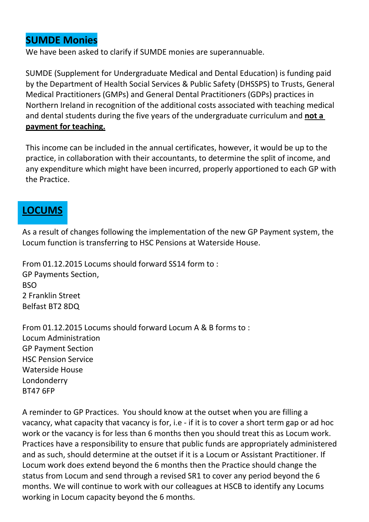## **SUMDE Monies**

We have been asked to clarify if SUMDE monies are superannuable.

SUMDE (Supplement for Undergraduate Medical and Dental Education) is funding paid by the Department of Health Social Services & Public Safety (DHSSPS) to Trusts, General Medical Practitioners (GMPs) and General Dental Practitioners (GDPs) practices in Northern Ireland in recognition of the additional costs associated with teaching medical and dental students during the five years of the undergraduate curriculum and **not a payment for teaching.**

This income can be included in the annual certificates, however, it would be up to the practice, in collaboration with their accountants, to determine the split of income, and any expenditure which might have been incurred, properly apportioned to each GP with the Practice.

## **LOCUMS**

As a result of changes following the implementation of the new GP Payment system, the Locum function is transferring to HSC Pensions at Waterside House.

From 01.12.2015 Locums should forward SS14 form to : GP Payments Section, **BSO** 2 Franklin Street Belfast BT2 8DQ

From 01.12.2015 Locums should forward Locum A & B forms to : Locum Administration GP Payment Section HSC Pension Service Waterside House Londonderry BT47 6FP

A reminder to GP Practices. You should know at the outset when you are filling a vacancy, what capacity that vacancy is for, i.e - if it is to cover a short term gap or ad hoc work or the vacancy is for less than 6 months then you should treat this as Locum work. Practices have a responsibility to ensure that public funds are appropriately administered and as such, should determine at the outset if it is a Locum or Assistant Practitioner. If Locum work does extend beyond the 6 months then the Practice should change the status from Locum and send through a revised SR1 to cover any period beyond the 6 months. We will continue to work with our colleagues at HSCB to identify any Locums working in Locum capacity beyond the 6 months.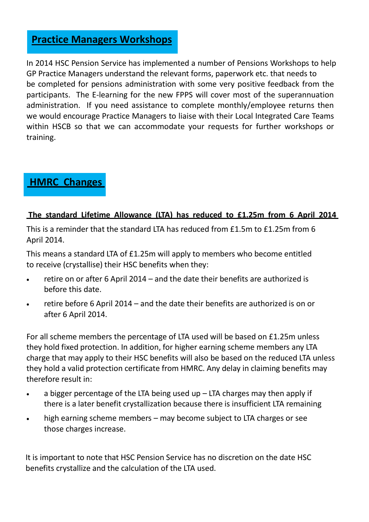#### **Practice Managers Workshops**

In 2014 HSC Pension Service has implemented a number of Pensions Workshops to help GP Practice Managers understand the relevant forms, paperwork etc. that needs to be completed for pensions administration with some very positive feedback from the participants. The E-learning for the new FPPS will cover most of the superannuation administration. If you need assistance to complete monthly/employee returns then we would encourage Practice Managers to liaise with their Local Integrated Care Teams within HSCB so that we can accommodate your requests for further workshops or training.

## **HMRC Changes**

#### **The standard Lifetime Allowance (LTA) has reduced to £1.25m from 6 April 2014**

This is a reminder that the standard LTA has reduced from £1.5m to £1.25m from 6 April 2014.

This means a standard LTA of £1.25m will apply to members who become entitled to receive (crystallise) their HSC benefits when they:

- retire on or after 6 April 2014 and the date their benefits are authorized is before this date.
- retire before 6 April 2014 and the date their benefits are authorized is on or after 6 April 2014.

For all scheme members the percentage of LTA used will be based on £1.25m unless they hold fixed protection. In addition, for higher earning scheme members any LTA charge that may apply to their HSC benefits will also be based on the reduced LTA unless they hold a valid protection certificate from HMRC. Any delay in claiming benefits may therefore result in:

- $\bullet$  a bigger percentage of the LTA being used up  $-$  LTA charges may then apply if there is a later benefit crystallization because there is insufficient LTA remaining
- high earning scheme members may become subject to LTA charges or see those charges increase.

It is important to note that HSC Pension Service has no discretion on the date HSC benefits crystallize and the calculation of the LTA used.